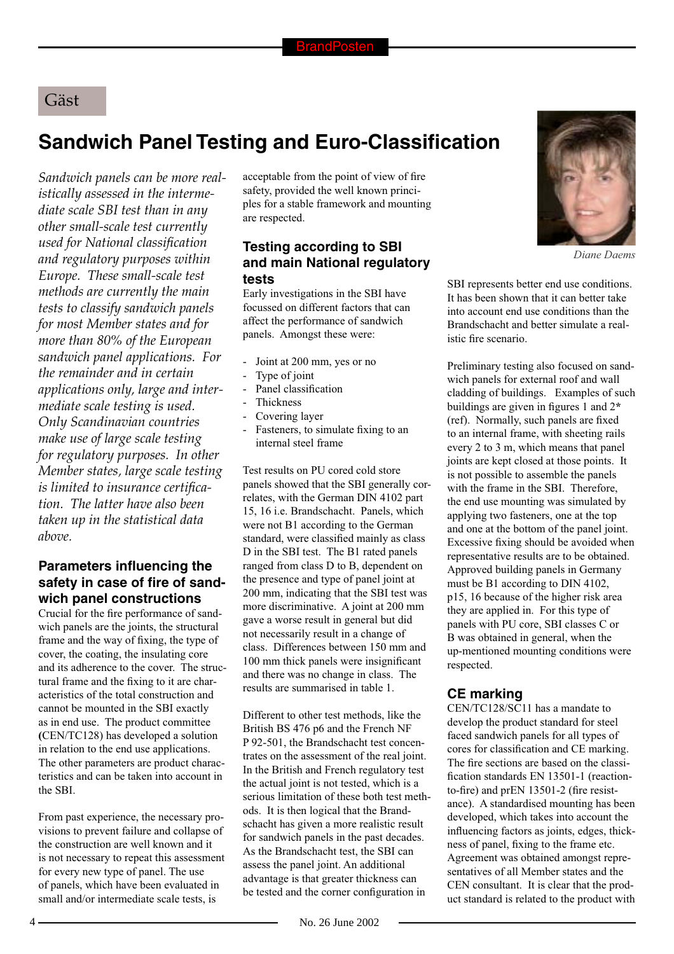## Gäst

# **Sandwich Panel Testing and Euro-Classification**

*Sandwich panels can be more realistically assessed in the intermediate scale SBI test than in any other small-scale test currently used for National classifi cation and regulatory purposes within Europe. These small-scale test methods are currently the main tests to classify sandwich panels for most Member states and for more than 80% of the European sandwich panel applications. For the remainder and in certain applications only, large and intermediate scale testing is used. Only Scandinavian countries make use of large scale testing for regulatory purposes. In other Member states, large scale testing*  is limited to insurance certifica*tion. The latter have also been taken up in the statistical data above.* 

#### **Parameters influencing the** safety in case of fire of sand**wich panel constructions**

Crucial for the fire performance of sandwich panels are the joints, the structural frame and the way of fixing, the type of cover, the coating, the insulating core and its adherence to the cover. The structural frame and the fixing to it are characteristics of the total construction and cannot be mounted in the SBI exactly as in end use. The product committee **(**CEN/TC128) has developed a solution in relation to the end use applications. The other parameters are product characteristics and can be taken into account in the SBI.

From past experience, the necessary provisions to prevent failure and collapse of the construction are well known and it is not necessary to repeat this assessment for every new type of panel. The use of panels, which have been evaluated in small and/or intermediate scale tests, is

acceptable from the point of view of fire safety, provided the well known principles for a stable framework and mounting are respected.

### **Testing according to SBI and main National regulatory tests**

Early investigations in the SBI have focussed on different factors that can affect the performance of sandwich panels. Amongst these were:

- Joint at 200 mm, yes or no
- Type of joint
- Panel classification
- **Thickness**
- Covering layer
- Fasteners, to simulate fixing to an internal steel frame

Test results on PU cored cold store panels showed that the SBI generally correlates, with the German DIN 4102 part 15, 16 i.e. Brandschacht. Panels, which were not B1 according to the German standard, were classified mainly as class D in the SBI test. The B1 rated panels ranged from class D to B, dependent on the presence and type of panel joint at 200 mm, indicating that the SBI test was more discriminative. A joint at 200 mm gave a worse result in general but did not necessarily result in a change of class. Differences between 150 mm and 100 mm thick panels were insignificant and there was no change in class. The results are summarised in table 1.

Different to other test methods, like the British BS 476 p6 and the French NF P 92-501, the Brandschacht test concentrates on the assessment of the real joint. In the British and French regulatory test the actual joint is not tested, which is a serious limitation of these both test methods. It is then logical that the Brandschacht has given a more realistic result for sandwich panels in the past decades. As the Brandschacht test, the SBI can assess the panel joint. An additional advantage is that greater thickness can be tested and the corner configuration in



*Diane Daems*

SBI represents better end use conditions. It has been shown that it can better take into account end use conditions than the Brandschacht and better simulate a realistic fire scenario.

Preliminary testing also focused on sandwich panels for external roof and wall cladding of buildings. Examples of such buildings are given in figures 1 and  $2^*$ (ref). Normally, such panels are fixed to an internal frame, with sheeting rails every 2 to 3 m, which means that panel joints are kept closed at those points. It is not possible to assemble the panels with the frame in the SBI. Therefore, the end use mounting was simulated by applying two fasteners, one at the top and one at the bottom of the panel joint. Excessive fixing should be avoided when representative results are to be obtained. Approved building panels in Germany must be B1 according to DIN 4102, p15, 16 because of the higher risk area they are applied in. For this type of panels with PU core, SBI classes C or B was obtained in general, when the up-mentioned mounting conditions were respected.

### **CE marking**

CEN/TC128/SC11 has a mandate to develop the product standard for steel faced sandwich panels for all types of cores for classification and CE marking. The fire sections are based on the classification standards EN 13501-1 (reactionto-fire) and  $prEN$  13501-2 (fire resistance). A standardised mounting has been developed, which takes into account the influencing factors as joints, edges, thickness of panel, fixing to the frame etc. Agreement was obtained amongst representatives of all Member states and the CEN consultant. It is clear that the product standard is related to the product with